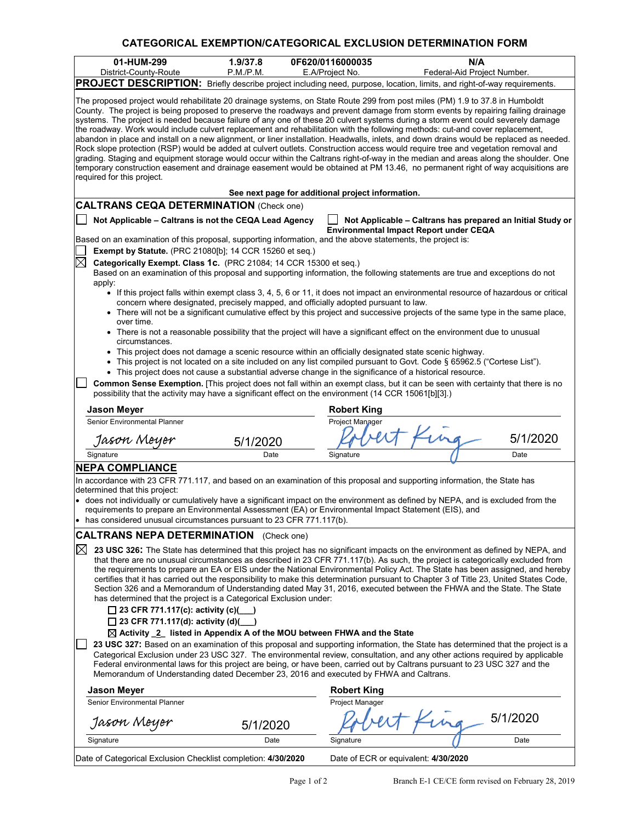## **CATEGORICAL EXEMPTION/CATEGORICAL EXCLUSION DETERMINATION FORM**

| 01-HUM-299<br>District-County-Route                                                                                                                                                                                                                                                                                                                                                                                                                                                                                                                                                                                                                                                                                                                                                                                                                                                                                                                                                                                                                                                                                                                                                                                                                      | 1.9/37.8<br>P.M.P.M. |  | 0F620/0116000035<br>E.A/Project No.  | N/A<br>Federal-Aid Project Number.                                                                   |          |  |  |
|----------------------------------------------------------------------------------------------------------------------------------------------------------------------------------------------------------------------------------------------------------------------------------------------------------------------------------------------------------------------------------------------------------------------------------------------------------------------------------------------------------------------------------------------------------------------------------------------------------------------------------------------------------------------------------------------------------------------------------------------------------------------------------------------------------------------------------------------------------------------------------------------------------------------------------------------------------------------------------------------------------------------------------------------------------------------------------------------------------------------------------------------------------------------------------------------------------------------------------------------------------|----------------------|--|--------------------------------------|------------------------------------------------------------------------------------------------------|----------|--|--|
|                                                                                                                                                                                                                                                                                                                                                                                                                                                                                                                                                                                                                                                                                                                                                                                                                                                                                                                                                                                                                                                                                                                                                                                                                                                          |                      |  |                                      |                                                                                                      |          |  |  |
| PROJECT DESCRIPTION: Briefly describe project including need, purpose, location, limits, and right-of-way requirements.<br>The proposed project would rehabilitate 20 drainage systems, on State Route 299 from post miles (PM) 1.9 to 37.8 in Humboldt<br>County. The project is being proposed to preserve the roadways and prevent damage from storm events by repairing failing drainage<br>systems. The project is needed because failure of any one of these 20 culvert systems during a storm event could severely damage<br>the roadway. Work would include culvert replacement and rehabilitation with the following methods: cut-and cover replacement,<br>abandon in place and install on a new alignment, or liner installation. Headwalls, inlets, and down drains would be replaced as needed.<br>Rock slope protection (RSP) would be added at culvert outlets. Construction access would require tree and vegetation removal and<br>grading. Staging and equipment storage would occur within the Caltrans right-of-way in the median and areas along the shoulder. One<br>temporary construction easement and drainage easement would be obtained at PM 13.46, no permanent right of way acquisitions are<br>required for this project. |                      |  |                                      |                                                                                                      |          |  |  |
| See next page for additional project information.                                                                                                                                                                                                                                                                                                                                                                                                                                                                                                                                                                                                                                                                                                                                                                                                                                                                                                                                                                                                                                                                                                                                                                                                        |                      |  |                                      |                                                                                                      |          |  |  |
| <b>CALTRANS CEQA DETERMINATION (Check one)</b>                                                                                                                                                                                                                                                                                                                                                                                                                                                                                                                                                                                                                                                                                                                                                                                                                                                                                                                                                                                                                                                                                                                                                                                                           |                      |  |                                      |                                                                                                      |          |  |  |
| Not Applicable - Caltrans is not the CEQA Lead Agency                                                                                                                                                                                                                                                                                                                                                                                                                                                                                                                                                                                                                                                                                                                                                                                                                                                                                                                                                                                                                                                                                                                                                                                                    |                      |  |                                      | Not Applicable - Caltrans has prepared an Initial Study or<br>Environmental Impact Report under CEQA |          |  |  |
| Based on an examination of this proposal, supporting information, and the above statements, the project is:<br><b>Exempt by Statute.</b> (PRC 21080[b]; 14 CCR 15260 et seq.)                                                                                                                                                                                                                                                                                                                                                                                                                                                                                                                                                                                                                                                                                                                                                                                                                                                                                                                                                                                                                                                                            |                      |  |                                      |                                                                                                      |          |  |  |
| $\boxtimes$                                                                                                                                                                                                                                                                                                                                                                                                                                                                                                                                                                                                                                                                                                                                                                                                                                                                                                                                                                                                                                                                                                                                                                                                                                              |                      |  |                                      |                                                                                                      |          |  |  |
| Categorically Exempt. Class 1c. (PRC 21084; 14 CCR 15300 et seq.)<br>Based on an examination of this proposal and supporting information, the following statements are true and exceptions do not<br>apply:                                                                                                                                                                                                                                                                                                                                                                                                                                                                                                                                                                                                                                                                                                                                                                                                                                                                                                                                                                                                                                              |                      |  |                                      |                                                                                                      |          |  |  |
| • If this project falls within exempt class 3, 4, 5, 6 or 11, it does not impact an environmental resource of hazardous or critical<br>concern where designated, precisely mapped, and officially adopted pursuant to law.<br>• There will not be a significant cumulative effect by this project and successive projects of the same type in the same place,                                                                                                                                                                                                                                                                                                                                                                                                                                                                                                                                                                                                                                                                                                                                                                                                                                                                                            |                      |  |                                      |                                                                                                      |          |  |  |
| over time.<br>• There is not a reasonable possibility that the project will have a significant effect on the environment due to unusual                                                                                                                                                                                                                                                                                                                                                                                                                                                                                                                                                                                                                                                                                                                                                                                                                                                                                                                                                                                                                                                                                                                  |                      |  |                                      |                                                                                                      |          |  |  |
| circumstances.<br>• This project does not damage a scenic resource within an officially designated state scenic highway.<br>This project is not located on a site included on any list compiled pursuant to Govt. Code § 65962.5 ("Cortese List").<br>$\bullet$                                                                                                                                                                                                                                                                                                                                                                                                                                                                                                                                                                                                                                                                                                                                                                                                                                                                                                                                                                                          |                      |  |                                      |                                                                                                      |          |  |  |
| • This project does not cause a substantial adverse change in the significance of a historical resource.<br>Common Sense Exemption. [This project does not fall within an exempt class, but it can be seen with certainty that there is no<br>possibility that the activity may have a significant effect on the environment (14 CCR 15061[b][3].)                                                                                                                                                                                                                                                                                                                                                                                                                                                                                                                                                                                                                                                                                                                                                                                                                                                                                                       |                      |  |                                      |                                                                                                      |          |  |  |
| Jason Meyer                                                                                                                                                                                                                                                                                                                                                                                                                                                                                                                                                                                                                                                                                                                                                                                                                                                                                                                                                                                                                                                                                                                                                                                                                                              |                      |  | <b>Robert King</b>                   |                                                                                                      |          |  |  |
| Senior Environmental Planner                                                                                                                                                                                                                                                                                                                                                                                                                                                                                                                                                                                                                                                                                                                                                                                                                                                                                                                                                                                                                                                                                                                                                                                                                             |                      |  | Project Manager                      |                                                                                                      |          |  |  |
| Jason Meyer                                                                                                                                                                                                                                                                                                                                                                                                                                                                                                                                                                                                                                                                                                                                                                                                                                                                                                                                                                                                                                                                                                                                                                                                                                              | 5/1/2020             |  |                                      |                                                                                                      | 5/1/2020 |  |  |
| Signature                                                                                                                                                                                                                                                                                                                                                                                                                                                                                                                                                                                                                                                                                                                                                                                                                                                                                                                                                                                                                                                                                                                                                                                                                                                | Date                 |  | Signature                            |                                                                                                      | Date     |  |  |
| <b>NEPA COMPLIANCE</b>                                                                                                                                                                                                                                                                                                                                                                                                                                                                                                                                                                                                                                                                                                                                                                                                                                                                                                                                                                                                                                                                                                                                                                                                                                   |                      |  |                                      |                                                                                                      |          |  |  |
| In accordance with 23 CFR 771.117, and based on an examination of this proposal and supporting information, the State has<br>determined that this project:<br>• does not individually or cumulatively have a significant impact on the environment as defined by NEPA, and is excluded from the                                                                                                                                                                                                                                                                                                                                                                                                                                                                                                                                                                                                                                                                                                                                                                                                                                                                                                                                                          |                      |  |                                      |                                                                                                      |          |  |  |
| requirements to prepare an Environmental Assessment (EA) or Environmental Impact Statement (EIS), and<br>has considered unusual circumstances pursuant to 23 CFR 771.117(b).                                                                                                                                                                                                                                                                                                                                                                                                                                                                                                                                                                                                                                                                                                                                                                                                                                                                                                                                                                                                                                                                             |                      |  |                                      |                                                                                                      |          |  |  |
| <b>CALTRANS NEPA DETERMINATION</b> (Check one)                                                                                                                                                                                                                                                                                                                                                                                                                                                                                                                                                                                                                                                                                                                                                                                                                                                                                                                                                                                                                                                                                                                                                                                                           |                      |  |                                      |                                                                                                      |          |  |  |
| $\boxtimes$<br>23 USC 326: The State has determined that this project has no significant impacts on the environment as defined by NEPA, and<br>that there are no unusual circumstances as described in 23 CFR 771.117(b). As such, the project is categorically excluded from<br>the requirements to prepare an EA or EIS under the National Environmental Policy Act. The State has been assigned, and hereby<br>certifies that it has carried out the responsibility to make this determination pursuant to Chapter 3 of Title 23, United States Code,<br>Section 326 and a Memorandum of Understanding dated May 31, 2016, executed between the FHWA and the State. The State<br>has determined that the project is a Categorical Exclusion under:<br>□ 23 CFR 771.117(c): activity (c)( $\Box$ )<br>□ 23 CFR 771.117(d): activity (d)( $\Box$ )                                                                                                                                                                                                                                                                                                                                                                                                      |                      |  |                                      |                                                                                                      |          |  |  |
| $\boxtimes$ Activity $\sqrt{2}$ listed in Appendix A of the MOU between FHWA and the State<br>23 USC 327: Based on an examination of this proposal and supporting information, the State has determined that the project is a<br>Categorical Exclusion under 23 USC 327. The environmental review, consultation, and any other actions required by applicable<br>Federal environmental laws for this project are being, or have been, carried out by Caltrans pursuant to 23 USC 327 and the<br>Memorandum of Understanding dated December 23, 2016 and executed by FHWA and Caltrans.                                                                                                                                                                                                                                                                                                                                                                                                                                                                                                                                                                                                                                                                   |                      |  |                                      |                                                                                                      |          |  |  |
| Jason Meyer                                                                                                                                                                                                                                                                                                                                                                                                                                                                                                                                                                                                                                                                                                                                                                                                                                                                                                                                                                                                                                                                                                                                                                                                                                              |                      |  | <b>Robert King</b>                   |                                                                                                      |          |  |  |
| Senior Environmental Planner                                                                                                                                                                                                                                                                                                                                                                                                                                                                                                                                                                                                                                                                                                                                                                                                                                                                                                                                                                                                                                                                                                                                                                                                                             |                      |  | Project Manager                      |                                                                                                      |          |  |  |
| Jason Meyer                                                                                                                                                                                                                                                                                                                                                                                                                                                                                                                                                                                                                                                                                                                                                                                                                                                                                                                                                                                                                                                                                                                                                                                                                                              | 5/1/2020             |  |                                      | ing                                                                                                  | 5/1/2020 |  |  |
| Signature                                                                                                                                                                                                                                                                                                                                                                                                                                                                                                                                                                                                                                                                                                                                                                                                                                                                                                                                                                                                                                                                                                                                                                                                                                                | Date                 |  | Signature                            |                                                                                                      | Date     |  |  |
| Date of Categorical Exclusion Checklist completion: 4/30/2020                                                                                                                                                                                                                                                                                                                                                                                                                                                                                                                                                                                                                                                                                                                                                                                                                                                                                                                                                                                                                                                                                                                                                                                            |                      |  | Date of ECR or equivalent: 4/30/2020 |                                                                                                      |          |  |  |